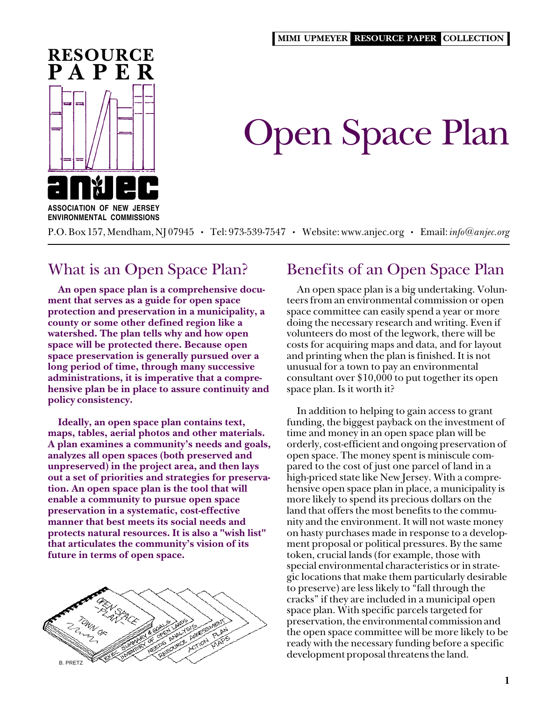

# Open Space Plan

**ASSOCIATION OF NEW JERSEY ENVIRONMENTAL COMMISSIONS**

P.O. Box 157, Mendham, NJ 07945 • Tel: 973-539-7547 • Website: www.anjec.org • Email: *info@anjec.org*

# What is an Open Space Plan?

**An open space plan is a comprehensive document that serves as a guide for open space protection and preservation in a municipality, a county or some other defined region like a watershed. The plan tells why and how open space will be protected there. Because open space preservation is generally pursued over a long period of time, through many successive administrations, it is imperative that a comprehensive plan be in place to assure continuity and policy consistency.**

**Ideally, an open space plan contains text, maps, tables, aerial photos and other materials. A plan examines a community's needs and goals, analyzes all open spaces (both preserved and unpreserved) in the project area, and then lays out a set of priorities and strategies for preservation. An open space plan is the tool that will enable a community to pursue open space preservation in a systematic, cost-effective manner that best meets its social needs and protects natural resources. It is also a "wish list" that articulates the community's vision of its future in terms of open space.**



# Benefits of an Open Space Plan

An open space plan is a big undertaking. Volunteers from an environmental commission or open space committee can easily spend a year or more doing the necessary research and writing. Even if volunteers do most of the legwork, there will be costs for acquiring maps and data, and for layout and printing when the plan is finished. It is not unusual for a town to pay an environmental consultant over \$10,000 to put together its open space plan. Is it worth it?

In addition to helping to gain access to grant funding, the biggest payback on the investment of time and money in an open space plan will be orderly, cost-efficient and ongoing preservation of open space. The money spent is miniscule compared to the cost of just one parcel of land in a high-priced state like New Jersey. With a comprehensive open space plan in place, a municipality is more likely to spend its precious dollars on the land that offers the most benefits to the community and the environment. It will not waste money on hasty purchases made in response to a development proposal or political pressures. By the same token, crucial lands (for example, those with special environmental characteristics or in strategic locations that make them particularly desirable to preserve) are less likely to "fall through the cracks" if they are included in a municipal open space plan. With specific parcels targeted for preservation, the environmental commission and the open space committee will be more likely to be ready with the necessary funding before a specific development proposal threatens the land.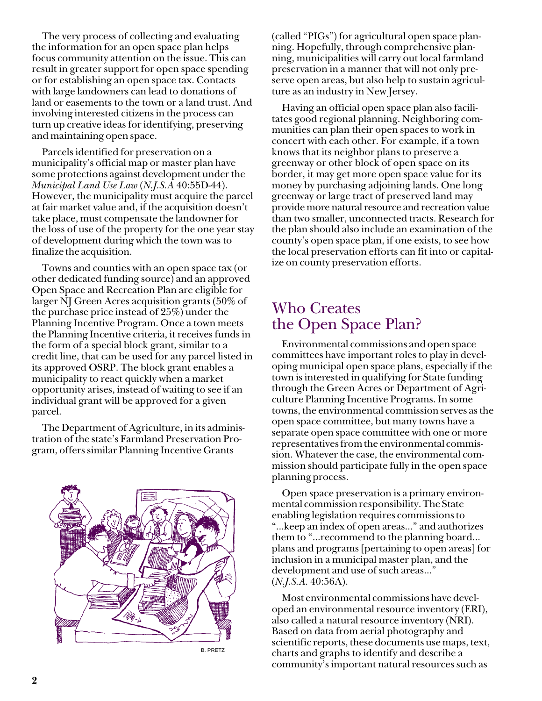The very process of collecting and evaluating the information for an open space plan helps focus community attention on the issue. This can result in greater support for open space spending or for establishing an open space tax. Contacts with large landowners can lead to donations of land or easements to the town or a land trust. And involving interested citizens in the process can turn up creative ideas for identifying, preserving and maintaining open space.

Parcels identified for preservation on a municipality's official map or master plan have some protections against development under the *Municipal Land Use Law* (*N.J.S.A* 40:55D-44). However, the municipality must acquire the parcel at fair market value and, if the acquisition doesn't take place, must compensate the landowner for the loss of use of the property for the one year stay of development during which the town was to finalize the acquisition.

Towns and counties with an open space tax (or other dedicated funding source) and an approved Open Space and Recreation Plan are eligible for larger NJ Green Acres acquisition grants (50% of the purchase price instead of 25%) under the Planning Incentive Program. Once a town meets the Planning Incentive criteria, it receives funds in the form of a special block grant, similar to a credit line, that can be used for any parcel listed in its approved OSRP. The block grant enables a municipality to react quickly when a market opportunity arises, instead of waiting to see if an individual grant will be approved for a given parcel.

The Department of Agriculture, in its administration of the state's Farmland Preservation Program, offers similar Planning Incentive Grants



(called "PIGs") for agricultural open space planning. Hopefully, through comprehensive planning, municipalities will carry out local farmland preservation in a manner that will not only preserve open areas, but also help to sustain agriculture as an industry in New Jersey.

Having an official open space plan also facilitates good regional planning. Neighboring communities can plan their open spaces to work in concert with each other. For example, if a town knows that its neighbor plans to preserve a greenway or other block of open space on its border, it may get more open space value for its money by purchasing adjoining lands. One long greenway or large tract of preserved land may provide more natural resource and recreation value than two smaller, unconnected tracts. Research for the plan should also include an examination of the county's open space plan, if one exists, to see how the local preservation efforts can fit into or capitalize on county preservation efforts.

# Who Creates the Open Space Plan?

Environmental commissions and open space committees have important roles to play in developing municipal open space plans, especially if the town is interested in qualifying for State funding through the Green Acres or Department of Agriculture Planning Incentive Programs. In some towns, the environmental commission serves as the open space committee, but many towns have a separate open space committee with one or more representatives from the environmental commission. Whatever the case, the environmental commission should participate fully in the open space planning process.

Open space preservation is a primary environmental commission responsibility. The State enabling legislation requires commissions to "...keep an index of open areas…" and authorizes them to "...recommend to the planning board... plans and programs [pertaining to open areas] for inclusion in a municipal master plan, and the development and use of such areas..." (*N.J.S.A.* 40:56A).

Most environmental commissions have developed an environmental resource inventory (ERI), also called a natural resource inventory (NRI). Based on data from aerial photography and scientific reports, these documents use maps, text, charts and graphs to identify and describe a community's important natural resources such as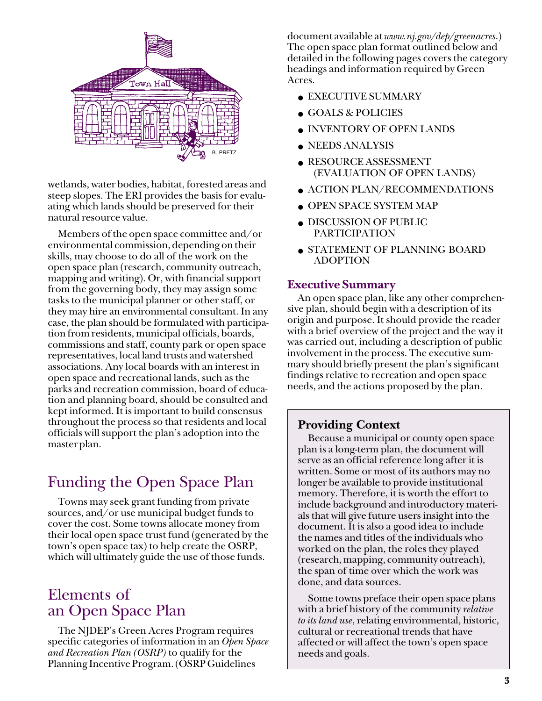

wetlands, water bodies, habitat, forested areas and steep slopes. The ERI provides the basis for evaluating which lands should be preserved for their natural resource value.

Members of the open space committee and/or environmental commission, depending on their skills, may choose to do all of the work on the open space plan (research, community outreach, mapping and writing). Or, with financial support from the governing body, they may assign some tasks to the municipal planner or other staff, or they may hire an environmental consultant. In any case, the plan should be formulated with participation from residents, municipal officials, boards, commissions and staff, county park or open space representatives, local land trusts and watershed associations. Any local boards with an interest in open space and recreational lands, such as the parks and recreation commission, board of education and planning board, should be consulted and kept informed. It is important to build consensus throughout the process so that residents and local officials will support the plan's adoption into the master plan.

# Funding the Open Space Plan

Towns may seek grant funding from private sources, and/or use municipal budget funds to cover the cost. Some towns allocate money from their local open space trust fund (generated by the town's open space tax) to help create the OSRP, which will ultimately guide the use of those funds.

# Elements of an Open Space Plan

The NJDEP's Green Acres Program requires specific categories of information in an *Open Space and Recreation Plan (OSRP)* to qualify for the Planning Incentive Program. (OSRP Guidelines

document available at *www.nj.gov/dep/greenacres*.) The open space plan format outlined below and detailed in the following pages covers the category headings and information required by Green Acres.

- EXECUTIVE SUMMARY
- GOALS & POLICIES
- INVENTORY OF OPEN LANDS
- NEEDS ANALYSIS
- RESOURCE ASSESSMENT (EVALUATION OF OPEN LANDS)
- ACTION PLAN/RECOMMENDATIONS
- OPEN SPACE SYSTEM MAP
- DISCUSSION OF PUBLIC PARTICIPATION
- STATEMENT OF PLANNING BOARD ADOPTION

# **Executive Summary**

An open space plan, like any other comprehensive plan, should begin with a description of its origin and purpose. It should provide the reader with a brief overview of the project and the way it was carried out, including a description of public involvement in the process. The executive summary should briefly present the plan's significant findings relative to recreation and open space needs, and the actions proposed by the plan.

# **Providing Context**

Because a municipal or county open space plan is a long-term plan, the document will serve as an official reference long after it is written. Some or most of its authors may no longer be available to provide institutional memory. Therefore, it is worth the effort to include background and introductory materials that will give future users insight into the document. It is also a good idea to include the names and titles of the individuals who worked on the plan, the roles they played (research, mapping, community outreach), the span of time over which the work was done, and data sources.

Some towns preface their open space plans with a brief history of the community *relative to its land use*, relating environmental, historic, cultural or recreational trends that have affected or will affect the town's open space needs and goals.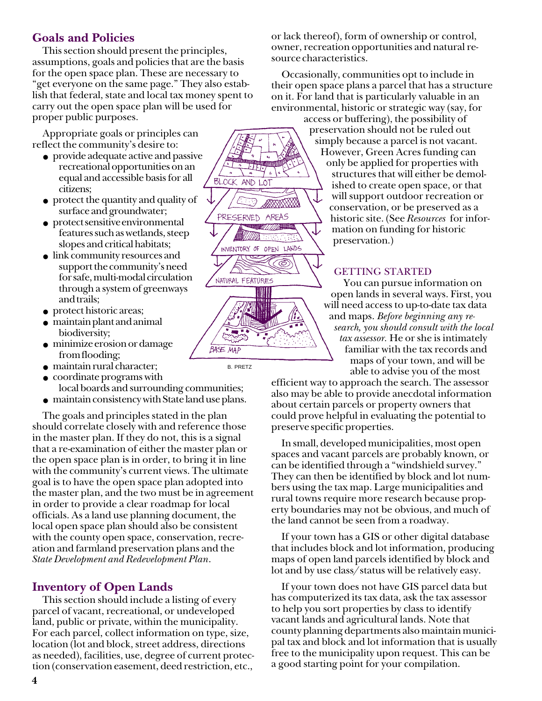# **Goals and Policies**

This section should present the principles, assumptions, goals and policies that are the basis for the open space plan. These are necessary to "get everyone on the same page." They also establish that federal, state and local tax money spent to carry out the open space plan will be used for proper public purposes.

Appropriate goals or principles can reflect the community's desire to:

- provide adequate active and passive recreational opportunities on an equal and accessible basis for all citizens;
- protect the quantity and quality of surface and groundwater;
- protect sensitive environmental features such as wetlands, steep slopes and critical habitats;
- link community resources and support the community's need for safe, multi-modal circulation through a system of greenways and trails;
- protect historic areas;
- maintain plant and animal biodiversity;
- minimize erosion or damage from flooding;
- maintain rural character;
- coordinate programs with
- local boards and surrounding communities;
- maintain consistency with State land use plans.

The goals and principles stated in the plan should correlate closely with and reference those in the master plan. If they do not, this is a signal that a re-examination of either the master plan or the open space plan is in order, to bring it in line with the community's current views. The ultimate goal is to have the open space plan adopted into the master plan, and the two must be in agreement in order to provide a clear roadmap for local officials. As a land use planning document, the local open space plan should also be consistent with the county open space, conservation, recreation and farmland preservation plans and the *State Development and Redevelopment Plan*.

# **Inventory of Open Lands**

This section should include a listing of every parcel of vacant, recreational, or undeveloped land, public or private, within the municipality. For each parcel, collect information on type, size, location (lot and block, street address, directions as needed), facilities, use, degree of current protection (conservation easement, deed restriction, etc.,

or lack thereof), form of ownership or control, owner, recreation opportunities and natural resource characteristics.

Occasionally, communities opt to include in their open space plans a parcel that has a structure on it. For land that is particularly valuable in an environmental, historic or strategic way (say, for

access or buffering), the possibility of preservation should not be ruled out simply because a parcel is not vacant. However, Green Acres funding can only be applied for properties with structures that will either be demolished to create open space, or that will support outdoor recreation or conservation, or be preserved as a historic site. (See *Resources* for information on funding for historic preservation.)

# GETTING STARTED

You can pursue information on open lands in several ways. First, you will need access to up-to-date tax data and maps. *Before beginning any research, you should consult with the local tax assessor.* He or she is intimately familiar with the tax records and maps of your town, and will be able to advise you of the most

efficient way to approach the search. The assessor also may be able to provide anecdotal information about certain parcels or property owners that could prove helpful in evaluating the potential to preserve specific properties.

In small, developed municipalities, most open spaces and vacant parcels are probably known, or can be identified through a "windshield survey." They can then be identified by block and lot numbers using the tax map. Large municipalities and rural towns require more research because property boundaries may not be obvious, and much of the land cannot be seen from a roadway.

If your town has a GIS or other digital database that includes block and lot information, producing maps of open land parcels identified by block and lot and by use class/status will be relatively easy.

If your town does not have GIS parcel data but has computerized its tax data, ask the tax assessor to help you sort properties by class to identify vacant lands and agricultural lands. Note that county planning departments also maintain municipal tax and block and lot information that is usually free to the municipality upon request. This can be a good starting point for your compilation.



B. PRETZ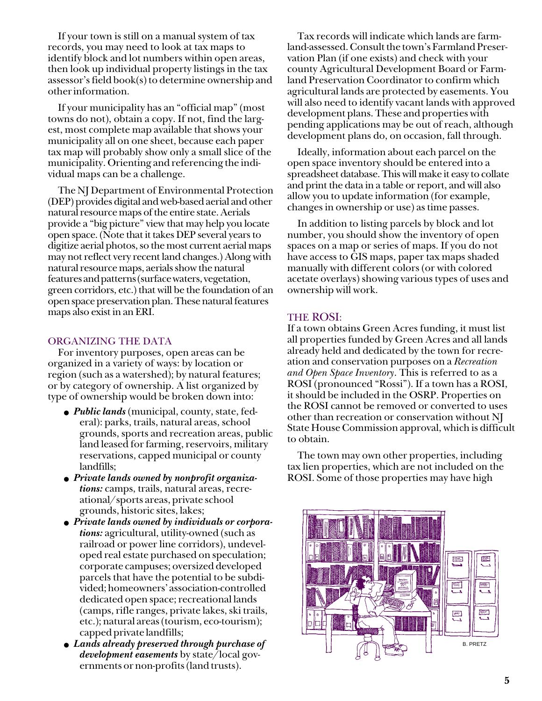If your town is still on a manual system of tax records, you may need to look at tax maps to identify block and lot numbers within open areas, then look up individual property listings in the tax assessor's field book(s) to determine ownership and other information.

If your municipality has an "official map" (most towns do not), obtain a copy. If not, find the largest, most complete map available that shows your municipality all on one sheet, because each paper tax map will probably show only a small slice of the municipality. Orienting and referencing the individual maps can be a challenge.

The NJ Department of Environmental Protection (DEP) provides digital and web-based aerial and other natural resource maps of the entire state. Aerials provide a "big picture" view that may help you locate open space. (Note that it takes DEP several years to digitize aerial photos, so the most current aerial maps may not reflect very recent land changes.) Along with natural resource maps, aerials show the natural features and patterns (surface waters, vegetation, green corridors, etc.) that will be the foundation of an open space preservation plan. These natural features maps also exist in an ERI.

#### ORGANIZING THE DATA

For inventory purposes, open areas can be organized in a variety of ways: by location or region (such as a watershed); by natural features; or by category of ownership. A list organized by type of ownership would be broken down into:

- *Public lands* (municipal, county, state, federal): parks, trails, natural areas, school grounds, sports and recreation areas, public land leased for farming, reservoirs, military reservations, capped municipal or county landfills;
- *Private lands owned by nonprofit organizations:* camps, trails, natural areas, recreational/sports areas, private school grounds, historic sites, lakes;
- *Private lands owned by individuals or corporations:* agricultural, utility-owned (such as railroad or power line corridors), undeveloped real estate purchased on speculation; corporate campuses; oversized developed parcels that have the potential to be subdivided; homeowners' association-controlled dedicated open space; recreational lands (camps, rifle ranges, private lakes, ski trails, etc.); natural areas (tourism, eco-tourism); capped private landfills;
- *Lands already preserved through purchase of development easements* by state/local governments or non-profits (land trusts).

Tax records will indicate which lands are farmland-assessed. Consult the town's Farmland Preservation Plan (if one exists) and check with your county Agricultural Development Board or Farmland Preservation Coordinator to confirm which agricultural lands are protected by easements. You will also need to identify vacant lands with approved development plans. These and properties with pending applications may be out of reach, although development plans do, on occasion, fall through.

Ideally, information about each parcel on the open space inventory should be entered into a spreadsheet database. This will make it easy to collate and print the data in a table or report, and will also allow you to update information (for example, changes in ownership or use) as time passes.

In addition to listing parcels by block and lot number, you should show the inventory of open spaces on a map or series of maps. If you do not have access to GIS maps, paper tax maps shaded manually with different colors (or with colored acetate overlays) showing various types of uses and ownership will work.

## THE ROSI:

If a town obtains Green Acres funding, it must list all properties funded by Green Acres and all lands already held and dedicated by the town for recreation and conservation purposes on a *Recreation and Open Space Inventory*. This is referred to as a ROSI (pronounced "Rossi"). If a town has a ROSI, it should be included in the OSRP. Properties on the ROSI cannot be removed or converted to uses other than recreation or conservation without NJ State House Commission approval, which is difficult to obtain.

The town may own other properties, including tax lien properties, which are not included on the ROSI. Some of those properties may have high

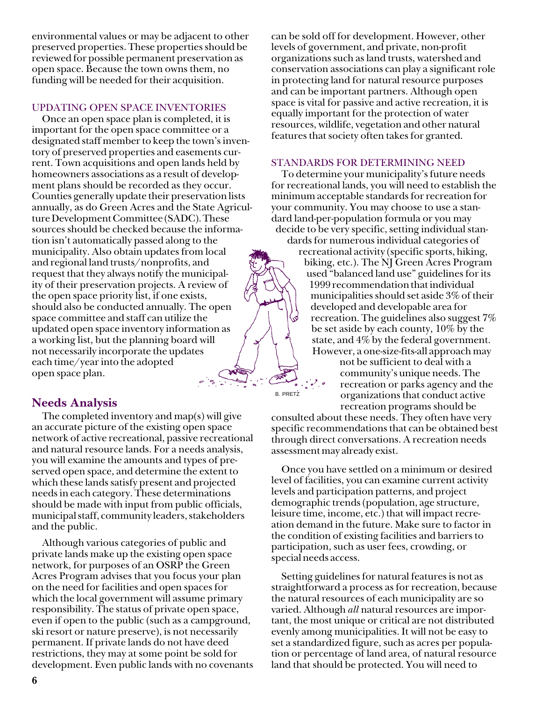environmental values or may be adjacent to other preserved properties. These properties should be reviewed for possible permanent preservation as open space. Because the town owns them, no funding will be needed for their acquisition.

#### UPDATING OPEN SPACE INVENTORIES

Once an open space plan is completed, it is important for the open space committee or a designated staff member to keep the town's inventory of preserved properties and easements current. Town acquisitions and open lands held by homeowners associations as a result of development plans should be recorded as they occur. Counties generally update their preservation lists annually, as do Green Acres and the State Agriculture Development Committee (SADC). These sources should be checked because the information isn't automatically passed along to the municipality. Also obtain updates from local and regional land trusts/nonprofits, and request that they always notify the municipality of their preservation projects. A review of the open space priority list, if one exists, should also be conducted annually. The open space committee and staff can utilize the updated open space inventory information as a working list, but the planning board will not necessarily incorporate the updates each time/year into the adopted open space plan.

# **Needs Analysis**

The completed inventory and map(s) will give an accurate picture of the existing open space network of active recreational, passive recreational and natural resource lands. For a needs analysis, you will examine the amounts and types of preserved open space, and determine the extent to which these lands satisfy present and projected needs in each category. These determinations should be made with input from public officials, municipal staff, community leaders, stakeholders and the public.

Although various categories of public and private lands make up the existing open space network, for purposes of an OSRP the Green Acres Program advises that you focus your plan on the need for facilities and open spaces for which the local government will assume primary responsibility. The status of private open space, even if open to the public (such as a campground, ski resort or nature preserve), is not necessarily permanent. If private lands do not have deed restrictions, they may at some point be sold for development. Even public lands with no covenants can be sold off for development. However, other levels of government, and private, non-profit organizations such as land trusts, watershed and conservation associations can play a significant role in protecting land for natural resource purposes and can be important partners. Although open space is vital for passive and active recreation, it is equally important for the protection of water resources, wildlife, vegetation and other natural features that society often takes for granted.

#### STANDARDS FOR DETERMINING NEED

To determine your municipality's future needs for recreational lands, you will need to establish the minimum acceptable standards for recreation for your community. You may choose to use a standard land-per-population formula or you may decide to be very specific, setting individual standards for numerous individual categories of

recreational activity (specific sports, hiking, biking, etc.). The NJ Green Acres Program used "balanced land use" guidelines for its 1999 recommendation that individual municipalities should set aside 3% of their developed and developable area for recreation. The guidelines also suggest 7% be set aside by each county, 10% by the state, and 4% by the federal government. However, a one-size-fits-all approach may

not be sufficient to deal with a community's unique needs. The recreation or parks agency and the organizations that conduct active recreation programs should be

consulted about these needs. They often have very specific recommendations that can be obtained best through direct conversations. A recreation needs assessment may already exist.

B. PRETZ

Once you have settled on a minimum or desired level of facilities, you can examine current activity levels and participation patterns, and project demographic trends (population, age structure, leisure time, income, etc.) that will impact recreation demand in the future. Make sure to factor in the condition of existing facilities and barriers to participation, such as user fees, crowding, or special needs access.

Setting guidelines for natural features is not as straightforward a process as for recreation, because the natural resources of each municipality are so varied. Although *all* natural resources are important, the most unique or critical are not distributed evenly among municipalities. It will not be easy to set a standardized figure, such as acres per population or percentage of land area, of natural resource land that should be protected. You will need to

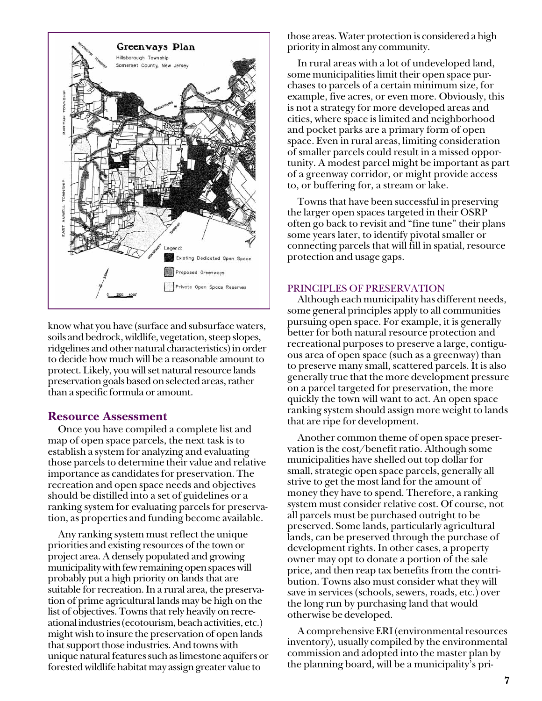

know what you have (surface and subsurface waters, soils and bedrock, wildlife, vegetation, steep slopes, ridgelines and other natural characteristics) in order to decide how much will be a reasonable amount to protect. Likely, you will set natural resource lands preservation goals based on selected areas, rather than a specific formula or amount.

## **Resource Assessment**

Once you have compiled a complete list and map of open space parcels, the next task is to establish a system for analyzing and evaluating those parcels to determine their value and relative importance as candidates for preservation. The recreation and open space needs and objectives should be distilled into a set of guidelines or a ranking system for evaluating parcels for preservation, as properties and funding become available.

Any ranking system must reflect the unique priorities and existing resources of the town or project area. A densely populated and growing municipality with few remaining open spaces will probably put a high priority on lands that are suitable for recreation. In a rural area, the preservation of prime agricultural lands may be high on the list of objectives. Towns that rely heavily on recreational industries (ecotourism, beach activities, etc.) might wish to insure the preservation of open lands that support those industries. And towns with unique natural features such as limestone aquifers or forested wildlife habitat may assign greater value to

those areas. Water protection is considered a high priority in almost any community.

In rural areas with a lot of undeveloped land, some municipalities limit their open space purchases to parcels of a certain minimum size, for example, five acres, or even more. Obviously, this is not a strategy for more developed areas and cities, where space is limited and neighborhood and pocket parks are a primary form of open space. Even in rural areas, limiting consideration of smaller parcels could result in a missed opportunity. A modest parcel might be important as part of a greenway corridor, or might provide access to, or buffering for, a stream or lake.

Towns that have been successful in preserving the larger open spaces targeted in their OSRP often go back to revisit and "fine tune" their plans some years later, to identify pivotal smaller or connecting parcels that will fill in spatial, resource protection and usage gaps.

#### PRINCIPLES OF PRESERVATION

Although each municipality has different needs, some general principles apply to all communities pursuing open space. For example, it is generally better for both natural resource protection and recreational purposes to preserve a large, contiguous area of open space (such as a greenway) than to preserve many small, scattered parcels. It is also generally true that the more development pressure on a parcel targeted for preservation, the more quickly the town will want to act. An open space ranking system should assign more weight to lands that are ripe for development.

Another common theme of open space preservation is the cost/benefit ratio. Although some municipalities have shelled out top dollar for small, strategic open space parcels, generally all strive to get the most land for the amount of money they have to spend. Therefore, a ranking system must consider relative cost. Of course, not all parcels must be purchased outright to be preserved. Some lands, particularly agricultural lands, can be preserved through the purchase of development rights. In other cases, a property owner may opt to donate a portion of the sale price, and then reap tax benefits from the contribution. Towns also must consider what they will save in services (schools, sewers, roads, etc.) over the long run by purchasing land that would otherwise be developed.

A comprehensive ERI (environmental resources inventory), usually compiled by the environmental commission and adopted into the master plan by the planning board, will be a municipality's pri-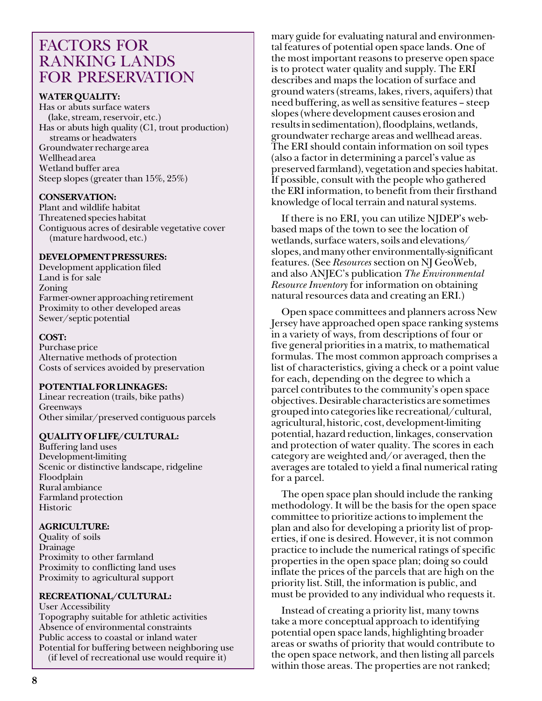# FACTORS FOR RANKING LANDS FOR PRESERVATION

## **WATER QUALITY:**

Has or abuts surface waters **(**lake, stream, reservoir, etc.) Has or abuts high quality (C1, trout production) streams or headwaters Groundwater recharge area Wellhead area Wetland buffer area Steep slopes (greater than 15%, 25%)

## **CONSERVATION:**

Plant and wildlife habitat Threatened species habitat Contiguous acres of desirable vegetative cover (mature hardwood, etc.)

## **DEVELOPMENT PRESSURES:**

Development application filed Land is for sale Zoning Farmer-owner approaching retirement Proximity to other developed areas Sewer/septic potential

## **COST:**

Purchase price Alternative methods of protection Costs of services avoided by preservation

## **POTENTIAL FOR LINKAGES:**

Linear recreation (trails, bike paths) Greenways Other similar/preserved contiguous parcels

## **QUALITY OF LIFE/CULTURAL:**

Buffering land uses Development-limiting Scenic or distinctive landscape, ridgeline Floodplain Rural ambiance Farmland protection Historic

#### **AGRICULTURE:**

Quality of soils Drainage Proximity to other farmland Proximity to conflicting land uses Proximity to agricultural support

## **RECREATIONAL/CULTURAL:**

User Accessibility Topography suitable for athletic activities Absence of environmental constraints Public access to coastal or inland water Potential for buffering between neighboring use (if level of recreational use would require it)

mary guide for evaluating natural and environmental features of potential open space lands. One of the most important reasons to preserve open space is to protect water quality and supply. The ERI describes and maps the location of surface and ground waters (streams, lakes, rivers, aquifers) that need buffering, as well as sensitive features – steep slopes (where development causes erosion and results in sedimentation), floodplains, wetlands, groundwater recharge areas and wellhead areas. The ERI should contain information on soil types (also a factor in determining a parcel's value as preserved farmland), vegetation and species habitat. If possible, consult with the people who gathered the ERI information, to benefit from their firsthand knowledge of local terrain and natural systems.

If there is no ERI, you can utilize NJDEP's webbased maps of the town to see the location of wetlands, surface waters, soils and elevations/ slopes, and many other environmentally-significant features. (See *Resources* section on NJ GeoWeb, and also ANJEC's publication *The Environmental Resource Inventory* for information on obtaining natural resources data and creating an ERI.)

Open space committees and planners across New Jersey have approached open space ranking systems in a variety of ways, from descriptions of four or five general priorities in a matrix, to mathematical formulas. The most common approach comprises a list of characteristics, giving a check or a point value for each, depending on the degree to which a parcel contributes to the community's open space objectives. Desirable characteristics are sometimes grouped into categories like recreational/cultural, agricultural, historic, cost, development-limiting potential, hazard reduction, linkages, conservation and protection of water quality. The scores in each category are weighted and/or averaged, then the averages are totaled to yield a final numerical rating for a parcel.

The open space plan should include the ranking methodology. It will be the basis for the open space committee to prioritize actions to implement the plan and also for developing a priority list of properties, if one is desired. However, it is not common practice to include the numerical ratings of specific properties in the open space plan; doing so could inflate the prices of the parcels that are high on the priority list. Still, the information is public, and must be provided to any individual who requests it.

Instead of creating a priority list, many towns take a more conceptual approach to identifying potential open space lands, highlighting broader areas or swaths of priority that would contribute to the open space network, and then listing all parcels within those areas. The properties are not ranked;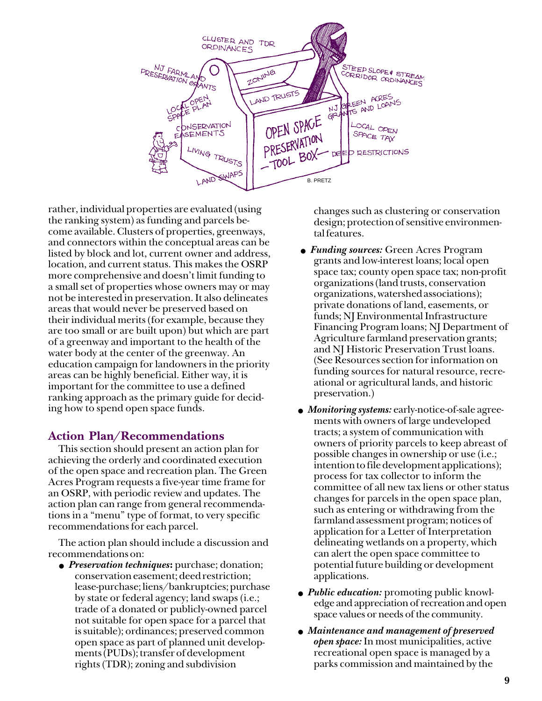

rather, individual properties are evaluated (using the ranking system) as funding and parcels become available. Clusters of properties, greenways, and connectors within the conceptual areas can be listed by block and lot, current owner and address, location, and current status. This makes the OSRP more comprehensive and doesn't limit funding to a small set of properties whose owners may or may not be interested in preservation. It also delineates areas that would never be preserved based on their individual merits (for example, because they are too small or are built upon) but which are part of a greenway and important to the health of the water body at the center of the greenway. An education campaign for landowners in the priority areas can be highly beneficial. Either way, it is important for the committee to use a defined ranking approach as the primary guide for deciding how to spend open space funds.

# **Action Plan/Recommendations**

This section should present an action plan for achieving the orderly and coordinated execution of the open space and recreation plan. The Green Acres Program requests a five-year time frame for an OSRP, with periodic review and updates. The action plan can range from general recommendations in a "menu" type of format, to very specific recommendations for each parcel.

The action plan should include a discussion and recommendations on:

● *Preservation techniques***:** purchase; donation; conservation easement; deed restriction; lease-purchase; liens/bankruptcies; purchase by state or federal agency; land swaps (i.e.; trade of a donated or publicly-owned parcel not suitable for open space for a parcel that is suitable); ordinances; preserved common open space as part of planned unit developments (PUDs); transfer of development rights (TDR); zoning and subdivision

changes such as clustering or conservation design; protection of sensitive environmental features.

- *Funding sources:* Green Acres Program grants and low-interest loans; local open space tax; county open space tax; non-profit organizations (land trusts, conservation organizations, watershed associations); private donations of land, easements, or funds; NJ Environmental Infrastructure Financing Program loans; NJ Department of Agriculture farmland preservation grants; and NJ Historic Preservation Trust loans. (See Resources section for information on funding sources for natural resource, recreational or agricultural lands, and historic preservation.)
- *Monitoring systems:* early-notice-of-sale agreements with owners of large undeveloped tracts; a system of communication with owners of priority parcels to keep abreast of possible changes in ownership or use (i.e.; intention to file development applications); process for tax collector to inform the committee of all new tax liens or other status changes for parcels in the open space plan, such as entering or withdrawing from the farmland assessment program; notices of application for a Letter of Interpretation delineating wetlands on a property, which can alert the open space committee to potential future building or development applications.
- *Public education:* promoting public knowledge and appreciation of recreation and open space values or needs of the community.
- *Maintenance and management of preserved open space:* In most municipalities, active recreational open space is managed by a parks commission and maintained by the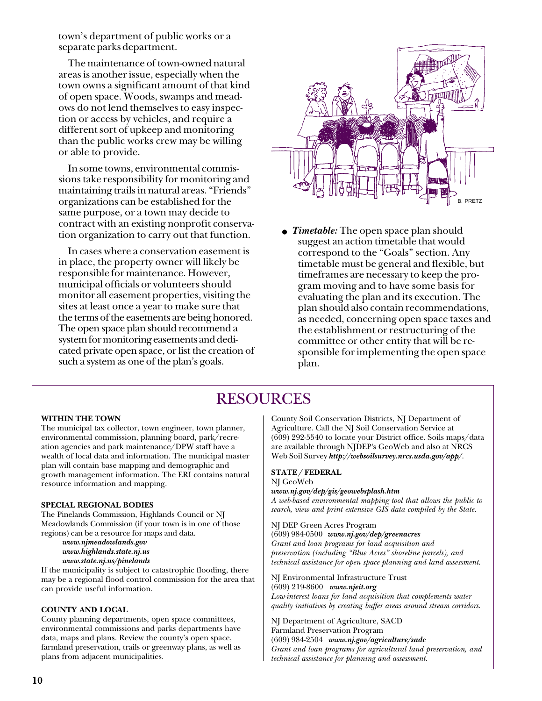town's department of public works or a separate parks department.

The maintenance of town-owned natural areas is another issue, especially when the town owns a significant amount of that kind of open space. Woods, swamps and meadows do not lend themselves to easy inspection or access by vehicles, and require a different sort of upkeep and monitoring than the public works crew may be willing or able to provide.

In some towns, environmental commissions take responsibility for monitoring and maintaining trails in natural areas. "Friends" organizations can be established for the same purpose, or a town may decide to contract with an existing nonprofit conservation organization to carry out that function.

In cases where a conservation easement is in place, the property owner will likely be responsible for maintenance. However, municipal officials or volunteers should monitor all easement properties, visiting the sites at least once a year to make sure that the terms of the easements are being honored. The open space plan should recommend a system for monitoring easements and dedicated private open space, or list the creation of such a system as one of the plan's goals.



● *Timetable:* The open space plan should suggest an action timetable that would correspond to the "Goals" section. Any timetable must be general and flexible, but timeframes are necessary to keep the program moving and to have some basis for evaluating the plan and its execution. The plan should also contain recommendations, as needed, concerning open space taxes and the establishment or restructuring of the committee or other entity that will be responsible for implementing the open space plan.

# RESOURCES

#### **WITHIN THE TOWN**

The municipal tax collector, town engineer, town planner, environmental commission, planning board, park/recreation agencies and park maintenance/DPW staff have a wealth of local data and information. The municipal master plan will contain base mapping and demographic and growth management information. The ERI contains natural resource information and mapping.

#### **SPECIAL REGIONAL BODIES**

The Pinelands Commission, Highlands Council or NJ Meadowlands Commission (if your town is in one of those regions) can be a resource for maps and data.

*www.njmeadowlands.gov www.highlands.state.nj.us www.state.nj.us/pinelands*

If the municipality is subject to catastrophic flooding, there may be a regional flood control commission for the area that can provide useful information.

#### **COUNTY AND LOCAL**

County planning departments, open space committees, environmental commissions and parks departments have data, maps and plans. Review the county's open space, farmland preservation, trails or greenway plans, as well as plans from adjacent municipalities.

County Soil Conservation Districts, NJ Department of Agriculture. Call the NJ Soil Conservation Service at (609) 292-5540 to locate your District office. Soils maps/data are available through NJDEP's GeoWeb and also at NRCS Web Soil Survey *http://websoilsurvey.nrcs.usda.gov/app/*.

#### **STATE / FEDERAL**

#### NJ GeoWeb

*www.nj.gov/dep/gis/geowebsplash.htm*

*A web-based environmental mapping tool that allows the public to search, view and print extensive GIS data compiled by the State.*

#### NJ DEP Green Acres Program

(609) 984-0500 *www.nj.gov/dep/greenacres Grant and loan programs for land acquisition and preservation (including "Blue Acres" shoreline parcels), and technical assistance for open space planning and land assessment.*

NJ Environmental Infrastructure Trust (609) 219-8600 *www.njeit.org Low-interest loans for land acquisition that complements water quality initiatives by creating buffer areas around stream corridors.*

NJ Department of Agriculture, SACD Farmland Preservation Program (609) 984-2504 *www.nj.gov/agriculture/sadc Grant and loan programs for agricultural land preservation, and technical assistance for planning and assessment.*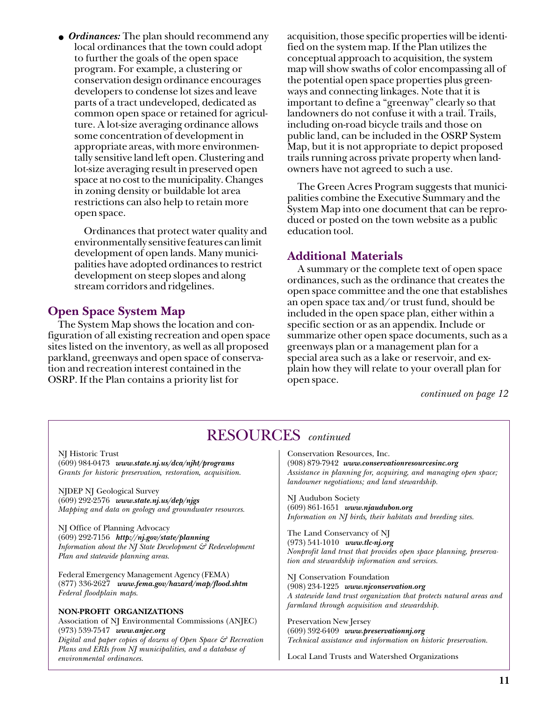• *Ordinances:* The plan should recommend any local ordinances that the town could adopt to further the goals of the open space program. For example, a clustering or conservation design ordinance encourages developers to condense lot sizes and leave parts of a tract undeveloped, dedicated as common open space or retained for agriculture. A lot-size averaging ordinance allows some concentration of development in appropriate areas, with more environmentally sensitive land left open. Clustering and lot-size averaging result in preserved open space at no cost to the municipality. Changes in zoning density or buildable lot area restrictions can also help to retain more open space.

Ordinances that protect water quality and environmentally sensitive features can limit development of open lands. Many municipalities have adopted ordinances to restrict development on steep slopes and along stream corridors and ridgelines.

# **Open Space System Map**

The System Map shows the location and configuration of all existing recreation and open space sites listed on the inventory, as well as all proposed parkland, greenways and open space of conservation and recreation interest contained in the OSRP. If the Plan contains a priority list for

acquisition, those specific properties will be identified on the system map. If the Plan utilizes the conceptual approach to acquisition, the system map will show swaths of color encompassing all of the potential open space properties plus greenways and connecting linkages. Note that it is important to define a "greenway" clearly so that landowners do not confuse it with a trail. Trails, including on-road bicycle trails and those on public land, can be included in the OSRP System Map, but it is not appropriate to depict proposed trails running across private property when landowners have not agreed to such a use.

The Green Acres Program suggests that municipalities combine the Executive Summary and the System Map into one document that can be reproduced or posted on the town website as a public education tool.

## **Additional Materials**

A summary or the complete text of open space ordinances, such as the ordinance that creates the open space committee and the one that establishes an open space tax and/or trust fund, should be included in the open space plan, either within a specific section or as an appendix. Include or summarize other open space documents, such as a greenways plan or a management plan for a special area such as a lake or reservoir, and explain how they will relate to your overall plan for open space.

*continued on page 12*

# RESOURCES *continued*

NJ Historic Trust (609) 984-0473 *www.state.nj.us/dca/njht/programs Grants for historic preservation, restoration, acquisition.*

NJDEP NJ Geological Survey (609) 292-2576 *www.state.nj.us/dep/njgs Mapping and data on geology and groundwater resources.*

NJ Office of Planning Advocacy (609) 292-7156 *http://nj.gov/state/planning Information about the NJ State Development & Redevelopment Plan and statewide planning areas.*

Federal Emergency Management Agency (FEMA) (877) 336-2627 *www.fema.gov/hazard/map/flood.shtm Federal floodplain maps.*

#### **NON-PROFIT ORGANIZATIONS**

Association of NJ Environmental Commissions (ANJEC) (973) 539-7547 *www.anjec.org Digital and paper copies of dozens of Open Space & Recreation Plans and ERIs from NJ municipalities, and a database of environmental ordinances.*

Conservation Resources, Inc. (908) 879-7942 *www.conservationresourcesinc.org Assistance in planning for, acquiring, and managing open space; landowner negotiations; and land stewardship.*

NJ Audubon Society (609) 861-1651 *www.njaudubon.org Information on NJ birds, their habitats and breeding sites.*

The Land Conservancy of NJ (973) 541-1010 *www.tlc-nj.org Nonprofit land trust that provides open space planning, preservation and stewardship information and services.*

NJ Conservation Foundation (908) 234-1225 *www.njconservation.org A statewide land trust organization that protects natural areas and farmland through acquisition and stewardship.*

Preservation New Jersey (609) 392-6409 *www.preservationnj.org Technical assistance and information on historic preservation.*

Local Land Trusts and Watershed Organizations